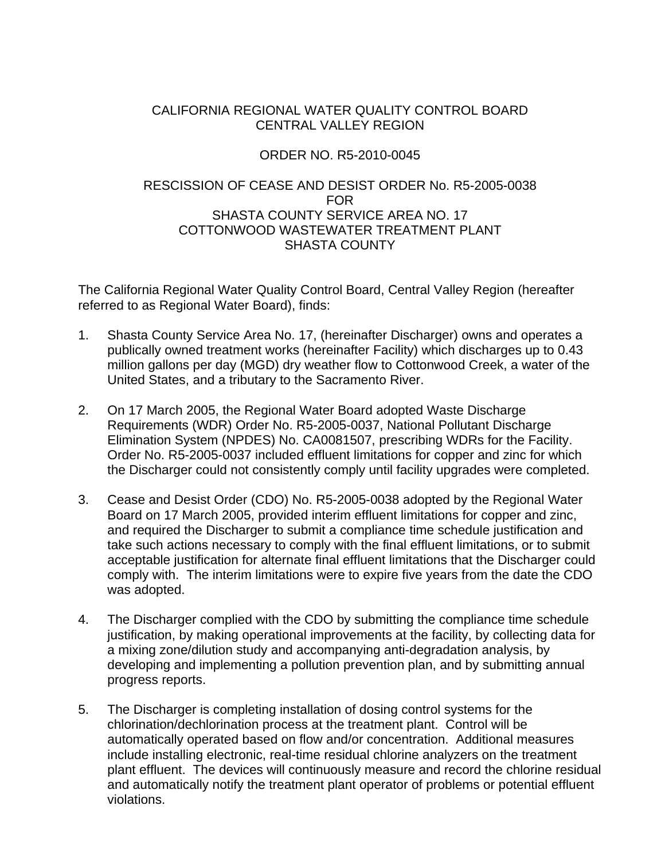## CALIFORNIA REGIONAL WATER QUALITY CONTROL BOARD CENTRAL VALLEY REGION

## ORDER NO. R5-2010-0045

## RESCISSION OF CEASE AND DESIST ORDER No. R5-2005-0038 FOR SHASTA COUNTY SERVICE AREA NO. 17 COTTONWOOD WASTEWATER TREATMENT PLANT SHASTA COUNTY

The California Regional Water Quality Control Board, Central Valley Region (hereafter referred to as Regional Water Board), finds:

- 1. Shasta County Service Area No. 17, (hereinafter Discharger) owns and operates a publically owned treatment works (hereinafter Facility) which discharges up to 0.43 million gallons per day (MGD) dry weather flow to Cottonwood Creek, a water of the United States, and a tributary to the Sacramento River.
- 2. On 17 March 2005, the Regional Water Board adopted Waste Discharge Requirements (WDR) Order No. R5-2005-0037, National Pollutant Discharge Elimination System (NPDES) No. CA0081507, prescribing WDRs for the Facility. Order No. R5-2005-0037 included effluent limitations for copper and zinc for which the Discharger could not consistently comply until facility upgrades were completed.
- 3. Cease and Desist Order (CDO) No. R5-2005-0038 adopted by the Regional Water Board on 17 March 2005, provided interim effluent limitations for copper and zinc, and required the Discharger to submit a compliance time schedule justification and take such actions necessary to comply with the final effluent limitations, or to submit acceptable justification for alternate final effluent limitations that the Discharger could comply with. The interim limitations were to expire five years from the date the CDO was adopted.
- 4. The Discharger complied with the CDO by submitting the compliance time schedule justification, by making operational improvements at the facility, by collecting data for a mixing zone/dilution study and accompanying anti-degradation analysis, by developing and implementing a pollution prevention plan, and by submitting annual progress reports.
- 5. The Discharger is completing installation of dosing control systems for the chlorination/dechlorination process at the treatment plant. Control will be automatically operated based on flow and/or concentration. Additional measures include installing electronic, real-time residual chlorine analyzers on the treatment plant effluent. The devices will continuously measure and record the chlorine residual and automatically notify the treatment plant operator of problems or potential effluent violations.